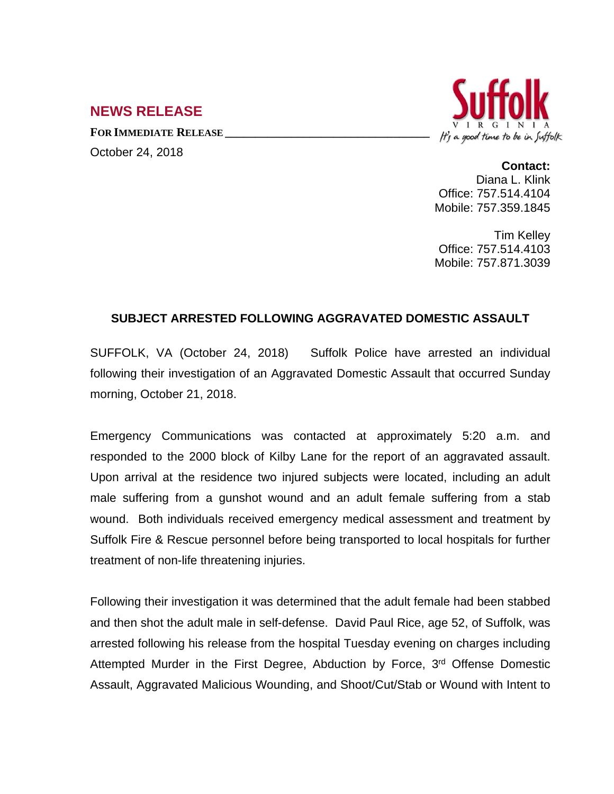## **NEWS RELEASE**

**FOR IMMEDIATE RELEASE \_\_\_\_\_\_\_\_\_\_\_\_\_\_\_\_\_\_\_\_\_\_\_\_\_\_\_\_\_\_\_\_\_\_** October 24, 2018



**Contact:**

Diana L. Klink Office: 757.514.4104 Mobile: 757.359.1845

Tim Kelley Office: 757.514.4103 Mobile: 757.871.3039

## **SUBJECT ARRESTED FOLLOWING AGGRAVATED DOMESTIC ASSAULT**

SUFFOLK, VA (October 24, 2018) Suffolk Police have arrested an individual following their investigation of an Aggravated Domestic Assault that occurred Sunday morning, October 21, 2018.

Emergency Communications was contacted at approximately 5:20 a.m. and responded to the 2000 block of Kilby Lane for the report of an aggravated assault. Upon arrival at the residence two injured subjects were located, including an adult male suffering from a gunshot wound and an adult female suffering from a stab wound. Both individuals received emergency medical assessment and treatment by Suffolk Fire & Rescue personnel before being transported to local hospitals for further treatment of non-life threatening injuries.

Following their investigation it was determined that the adult female had been stabbed and then shot the adult male in self-defense. David Paul Rice, age 52, of Suffolk, was arrested following his release from the hospital Tuesday evening on charges including Attempted Murder in the First Degree, Abduction by Force, 3<sup>rd</sup> Offense Domestic Assault, Aggravated Malicious Wounding, and Shoot/Cut/Stab or Wound with Intent to